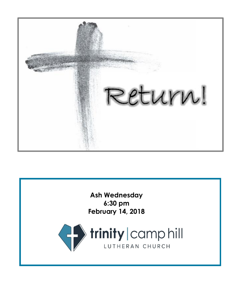

**Ash Wednesday 6:30 pm February 14, 2018**

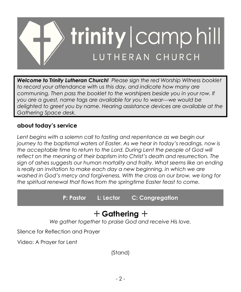

*Welcome to Trinity Lutheran Church! Please sign the red Worship Witness booklet to record your attendance with us this day, and indicate how many are communing. Then pass the booklet to the worshipers beside you in your row. If you are a guest, name tags are available for you to wear---we would be delighted to greet you by name. Hearing assistance devices are available at the Gathering Space desk.*

### **about today's service**

Lent begins with a solemn call to fasting and repentance as we begin our *journey to the baptismal waters of Easter. As we hear in today's readings, now is the acceptable time to return to the Lord. During Lent the people of God will reflect on the meaning of their baptism into Christ's death and resurrection. The sign of ashes suggests our human mortality and frailty. What seems like an ending is really an invitation to make each day a new beginning, in which we are washed in God's mercy and forgiveness. With the cross on our brow, we long for the spiritual renewal that flows from the springtime Easter feast to come.*

**P: Pastor L: Lector C: Congregation**

## + **Gathering** +

*We gather together to praise God and receive His love.*

Silence for Reflection and Prayer

Video: A Prayer for Lent

(Stand)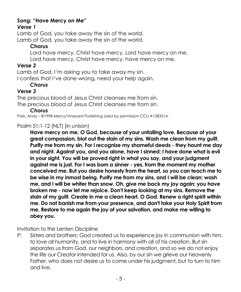#### **Song: "Have Mercy on Me"**

#### *Verse 1*

Lamb of God, you take away the sin of the world. Lamb of God, you take away the sin of the world.

## **Chorus**

Lord have mercy, Christ have mercy, Lord have mercy on me. Lord have mercy, Christ have mercy, have mercy on me.

## *Verse 2*

Lamb of God, I'm asking you to take away my sin. I confess that I've done wrong, need your help again.

## *Chorus*

## *Verse 3*

The precious blood of Jesus Christ cleanses me from sin.

The precious blood of Jesus Christ cleanses me from sin.

## *Chorus*

Park, Andy – ©1998 Mercy/Vineyard Publishing Used by permission CCLI #1283514.

### Psalm 51:1-12 (NLT) (in unison)

**Have mercy on me, O God, because of your unfailing love. Because of your great compassion, blot out the stain of my sins. Wash me clean from my guilt. Purify me from my sin. For I recognize my shameful deeds - they haunt me day and night. Against you, and you alone, have I sinned; I have done what is evil in your sight. You will be proved right in what you say, and your judgment against me is just. For I was born a sinner - yes, from the moment my mother conceived me. But you desire honesty from the heart, so you can teach me to be wise in my inmost being. Purify me from my sins, and I will be clean; wash me, and I will be whiter than snow. Oh, give me back my joy again; you have broken me - now let me rejoice. Don't keep looking at my sins. Remove the stain of my guilt. Create in me a clean heart, O God. Renew a right spirit within me. Do not banish me from your presence, and don't take your Holy Spirit from me. Restore to me again the joy of your salvation, and make me willing to obey you.** 

Invitation to the Lenten Discipline

P: Sisters and brothers: God created us to experience joy in communion with him, to love all humanity, and to live in harmony with all of his creation. But sin separates us from God, our neighbors, and creation, and so we do not enjoy the life our Creator intended for us. Also, by our sin we grieve our heavenly Father, who does not desire us to come under his judgment, but to turn to him and live.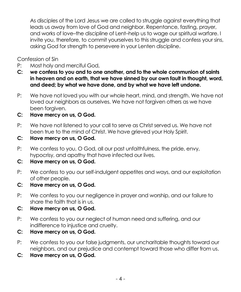As disciples of the Lord Jesus we are called to struggle against everything that leads us away from love of God and neighbor. Repentance, fasting, prayer, and works of love–the discipline of Lent–help us to wage our spiritual warfare. I invite you, therefore, to commit yourselves to this struggle and confess your sins, asking God for strength to persevere in your Lenten discipline.

Confession of Sin

- P: Most holy and merciful God,
- **C: we confess to you and to one another, and to the whole communion of saints in heaven and on earth, that we have sinned by our own fault in thought, word, and deed; by what we have done, and by what we have left undone.**
- P: We have not loved you with our whole heart, mind, and strength. We have not loved our neighbors as ourselves. We have not forgiven others as we have been forgiven.
- **C: Have mercy on us, O God.**
- P: We have not listened to your call to serve as Christ served us. We have not been true to the mind of Christ. We have grieved your Holy Spirit.
- **C: Have mercy on us, O God.**
- P: We confess to you, O God, all our past unfaithfulness, the pride, envy, hypocrisy, and apathy that have infected our lives.
- **C: Have mercy on us, O God.**
- P: We confess to you our self-indulgent appetites and ways, and our exploitation of other people.
- **C: Have mercy on us, O God.**
- P: We confess to you our negligence in prayer and worship, and our failure to share the faith that is in us.
- **C: Have mercy on us, O God.**
- P: We confess to you our neglect of human need and suffering, and our indifference to injustice and cruelty.
- **C: Have mercy on us, O God.**
- P: We confess to you our false judgments, our uncharitable thoughts toward our neighbors, and our prejudice and contempt toward those who differ from us.
- **C: Have mercy on us, O God.**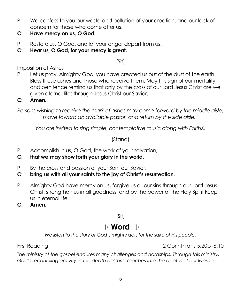- P: We confess to you our waste and pollution of your creation, and our lack of concern for those who come after us.
- **C: Have mercy on us, O God.**
- P: Restore us, O God, and let your anger depart from us.
- **C: Hear us, O God, for your mercy is great.**

(Sit)

Imposition of Ashes

- P: Let us pray. Almighty God, you have created us out of the dust of the earth. Bless these ashes and those who receive them. May this sign of our mortality and penitence remind us that only by the cross of our Lord Jesus Christ are we given eternal life; through Jesus Christ our Savior.
- **C: Amen.**

*Persons wishing to receive the mark of ashes may come forward by the middle aisle, move toward an available pastor, and return by the side aisle.*

*You are invited to sing simple, contemplative music along with FaithX.*

(Stand)

- P: Accomplish in us, O God, the work of your salvation,
- **C: that we may show forth your glory in the world.**
- P: By the cross and passion of your Son, our Savior,
- **C: bring us with all your saints to the joy of Christ's resurrection.**
- P: Almighty God have mercy on us, forgive us all our sins through our Lord Jesus Christ, strengthen us in all goodness, and by the power of the Holy Spirit keep us in eternal life.
- **C: Amen.**

(Sit)

## $+$  **Word**  $+$

*We listen to the story of God's mighty acts for the sake of His people.*

First Reading 2 Corinthians 5:20b–6:10

*The ministry of the gospel endures many challenges and hardships. Through this ministry, God's reconciling activity in the death of Christ reaches into the depths of our lives to*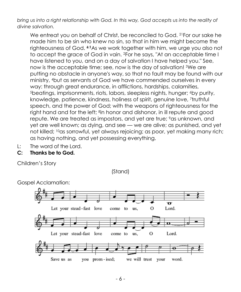*bring us into a right relationship with God. In this way, God accepts us into the reality of divine salvation.*

We entreat you on behalf of Christ, be reconciled to God. <sup>21</sup>For our sake he made him to be sin who knew no sin, so that in him we might become the righteousness of God. **6:1**As we work together with him, we urge you also not to accept the grace of God in vain. 2For he says, "At an acceptable time I have listened to you, and on a day of salvation I have helped you." See, now is the acceptable time; see, now is the day of salvation! 3We are putting no obstacle in anyone's way, so that no fault may be found with our ministry, 4but as servants of God we have commended ourselves in every way: through great endurance, in afflictions, hardships, calamities, <sup>5</sup>beatings, imprisonments, riots, labors, sleepless nights, hunger; <sup>6</sup>by purity, knowledge, patience, kindness, holiness of spirit, genuine love, <sup>7</sup> truthful speech, and the power of God; with the weapons of righteousness for the right hand and for the left; <sup>8</sup>in honor and dishonor, in ill repute and good repute. We are treated as impostors, and yet are true; <sup>9</sup>as unknown, and yet are well known; as dying, and see — we are alive; as punished, and yet not killed; <sup>10</sup>as sorrowful, yet always rejoicing; as poor, yet making many rich; as having nothing, and yet possessing everything.

- L: The word of the Lord.
- **C: Thanks be to God.**

Children's Story

(Stand)

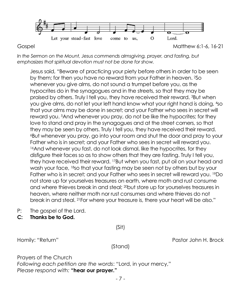

*In the Sermon on the Mount, Jesus commends almsgiving, prayer, and fasting, but emphasizes that spiritual devotion must not be done for show.*

Jesus said, "Beware of practicing your piety before others in order to be seen by them; for then you have no reward from your Father in heaven. <sup>2</sup>So whenever you give alms, do not sound a trumpet before you, as the hypocrites do in the synagogues and in the streets, so that they may be praised by others. Truly I tell you, they have received their reward. 3But when you give alms, do not let your left hand know what your right hand is doing, 4so that your alms may be done in secret; and your Father who sees in secret will reward you. 5And whenever you pray, do not be like the hypocrites; for they love to stand and pray in the synagogues and at the street corners, so that they may be seen by others. Truly I tell you, they have received their reward. <sup>6</sup>But whenever you pray, go into your room and shut the door and pray to your Father who is in secret; and your Father who sees in secret will reward you. <sup>16</sup>And whenever you fast, do not look dismal, like the hypocrites, for they disfigure their faces so as to show others that they are fasting. Truly I tell you, they have received their reward. 17But when you fast, put oil on your head and wash your face, 18so that your fasting may be seen not by others but by your Father who is in secret; and your Father who sees in secret will reward you. <sup>19</sup>Do not store up for yourselves treasures on earth, where moth and rust consume and where thieves break in and steal; 20but store up for yourselves treasures in heaven, where neither moth nor rust consumes and where thieves do not break in and steal. 21For where your treasure is, there your heart will be also."

- P: The gospel of the Lord.
- **C: Thanks be to God.**

(Sit)

Homily: "Return" Pastor John H. Brock

(Stand)

Prayers of the Church *Following each petition are the words*: "Lord, in your mercy," *Please respond with:* **"hear our prayer."**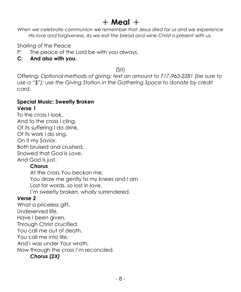## + **Meal** +

*When we celebrate communion we remember that Jesus died for us and we experience His love and forgiveness. As we eat the bread and wine Christ is present with us.*

Sharing of the Peace

P: The peace of the Lord be with you always.

#### **C: And also with you.**

(Sit)

Offering: *Optional methods of giving: text an amount to 717-963-2281 (be sure to use a "\$"); use the Giving Station in the Gathering Space to donate by credit card.*

#### **Special Music: Sweetly Broken** *Verse 1*

To the cross I look, And to the cross I cling. Of its suffering I do drink, Of its work I do sing. On it my Savior, Both bruised and crushed, Showed that God is Love, And God is just.

## *Chorus*

At the cross You beckon me, You draw me gently to my knees and I am Lost for words, so lost in love, I'm sweetly broken, wholly surrendered.

## *Verse 2*

What a priceless gift, Undeserved life, Have I been given, Through Christ crucified. You call me out of death, You call me into life, And I was under Your wrath, Now through the cross I'm reconciled.

## *Chorus (2X)*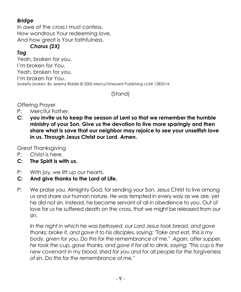## *Bridge*

In awe of the cross I must confess, How wondrous Your redeeming love, And how great is Your faithfulness.

## *Chorus (2X)*

#### *Tag*

Yeah, broken for you, I'm broken for You. Yeah, broken for you, I'm broken for You. Sweetly broken. By Jeremy Riddle © 2005 Mercy/Vineyard Publishing ccli# 1283514.

(Stand)

Offering Prayer

- P: Merciful Father,
- **C: you invite us to keep the season of Lent so that we remember the humble ministry of your Son. Give us the devotion to live more sparingly and then share what is save that our neighbor may rejoice to see your unselfish love in us. Through Jesus Christ our Lord. Amen.**

Great Thanksgiving

- P: Christ is here.
- **C: The Spirit is with us.**
- P: With joy, we lift up our hearts.
- **C: And give thanks to the Lord of Life.**
- P: We praise you, Almighty God, for sending your Son, Jesus Christ to live among us and share our human nature. He was tempted in every way as we are, yet he did not sin. Instead, he became servant of all in obedience to you. Out of love for us he suffered death on the cross, that we might be released from our sin.

*In the night in which he was betrayed, our Lord Jesus took bread, and gave thanks; broke it, and gave it to his disciples, saying: "Take and eat, this is my body, given for you. Do this for the remembrance of me." Again, after supper, he took the cup, gave thanks, and gave it for all to drink, saying: "This cup is the new covenant in my blood, shed for you and for all people for the forgiveness of sin. Do this for the remembrance of me."*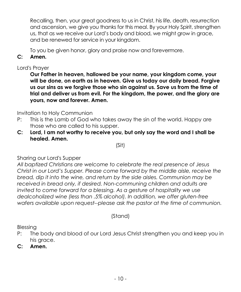Recalling, then, your great goodness to us in Christ, his life, death, resurrection and ascension, we give you thanks for this meal. By your Holy Spirit, strengthen us, that as we receive our Lord's body and blood, we might grow in grace, and be renewed for service in your kingdom.

To you be given honor, glory and praise now and forevermore.

#### **C: Amen.**

Lord's Prayer

**Our Father in heaven, hallowed be your name, your kingdom come, your will be done, on earth as in heaven. Give us today our daily bread. Forgive us our sins as we forgive those who sin against us. Save us from the time of trial and deliver us from evil. For the kingdom, the power, and the glory are yours, now and forever. Amen.**

Invitation to Holy Communion

- P: This is the Lamb of God who takes away the sin of the world. Happy are those who are called to his supper.
- **C: Lord, I am not worthy to receive you, but only say the word and I shall be healed. Amen.**

(Sit)

Sharing our Lord's Supper

*All baptized Christians are welcome to celebrate the real presence of Jesus Christ in our Lord's Supper. Please come forward by the middle aisle, receive the bread, dip it into the wine, and return by the side aisles. Communion may be received in bread only, if desired. Non-communing children and adults are invited to come forward for a blessing. As a gesture of hospitality we use dealcoholized wine (less than .5% alcohol). In addition, we offer gluten-free wafers available upon request--please ask the pastor at the time of communion.*

(Stand)

Blessing

- P: The body and blood of our Lord Jesus Christ strengthen you and keep you in his grace.
- **C: Amen.**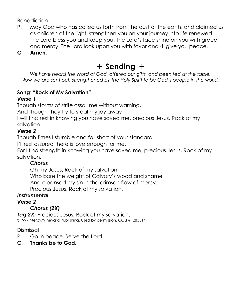**Benediction** 

P: May God who has called us forth from the dust of the earth, and claimed us as children of the light, strengthen you on your journey into life renewed. The Lord bless you and keep you. The Lord's face shine on you with grace and mercy. The Lord look upon you with favor and  $+$  give you peace.

#### **C: Amen.**

## + **Sending** +

*We have heard the Word of God, offered our gifts, and been fed at the table. Now we are sent out, strengthened by the Holy Spirit to be God's people in the world.*

# **Song**: **"Rock of My Salvation"**

#### *Verse 1*

Though storms of strife assail me without warning,

And though they try to steal my joy away

I will find rest in knowing you have saved me, precious Jesus, Rock of my salvation.

#### *Verse 2*

Though times I stumble and fall short of your standard

I'll rest assured there is love enough for me,

For I find strength in knowing you have saved me, precious Jesus, Rock of my salvation.

#### *Chorus*

Oh my Jesus, Rock of my salvation Who bore the weight of Calvary's wood and shame And cleansed my sin in the crimson flow of mercy, Precious Jesus, Rock of my salvation.

#### *Instrumental*

#### *Verse 2*

## *Chorus (2X)*

**Taa 2X:** Precious Jesus, Rock of my salvation. ©1997 Mercy/Vineyard Publishing. Used by permission. CCLI #1283514.

#### Dismissal

P: Go in peace. Serve the Lord.

**C: Thanks be to God.**